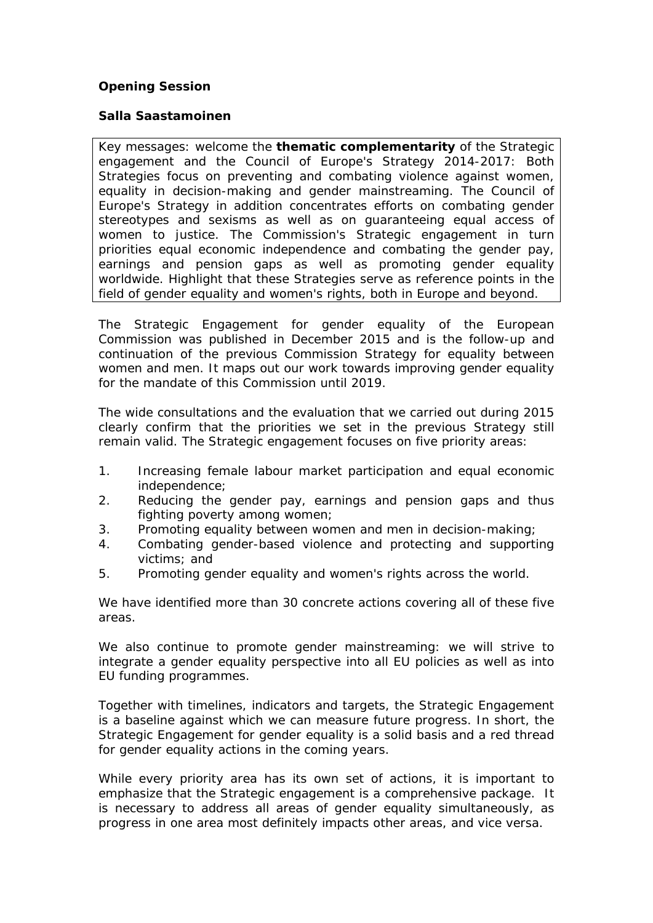## **Opening Session**

**Salla Saastamoinen**

Key messages: welcome the **thematic complementarity** of the Strategic engagement and the Council of Europe's Strategy 2014-2017: Both Strategies focus on preventing and combating violence against women, equality in decision-making and gender mainstreaming. The Council of Europe's Strategy in addition concentrates efforts on combating gender stereotypes and sexisms as well as on guaranteeing equal access of women to justice. The Commission's Strategic engagement in turn priorities equal economic independence and combating the gender pay, earnings and pension gaps as well as promoting gender equality worldwide. Highlight that these Strategies serve as reference points in the field of gender equality and women's rights, both in Europe and beyond.

The Strategic Engagement for gender equality of the European Commission was published in December 2015 and is the follow-up and continuation of the previous Commission Strategy for equality between women and men. It maps out our work towards improving gender equality for the mandate of this Commission until 2019.

The wide consultations and the evaluation that we carried out during 2015 clearly confirm that the priorities we set in the previous Strategy still remain valid. The Strategic engagement focuses on five priority areas:

- 1. Increasing female labour market participation and equal economic independence;
- 2. Reducing the gender pay, earnings and pension gaps and thus fighting poverty among women;
- 3. Promoting equality between women and men in decision-making;
- 4. Combating gender-based violence and protecting and supporting victims; and
- 5. Promoting gender equality and women's rights across the world.

We have identified more than 30 concrete actions covering all of these five areas.

We also continue to promote gender mainstreaming: we will strive to integrate a gender equality perspective into all EU policies as well as into EU funding programmes.

Together with timelines, indicators and targets, the Strategic Engagement is a baseline against which we can measure future progress. In short, the Strategic Engagement for gender equality is a solid basis and a red thread for gender equality actions in the coming years.

While every priority area has its own set of actions, it is important to emphasize that the Strategic engagement is a comprehensive package. It is necessary to address all areas of gender equality simultaneously, as progress in one area most definitely impacts other areas, and vice versa.